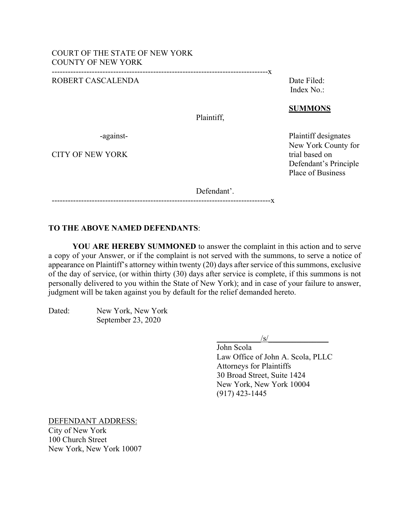#### ROBERT CASCALENDA DATE: DELLA DATE Filed:

Index No.:

#### **SUMMONS**

-against- Plaintiff designates New York County for Defendant's Principle Place of Business

Plaintiff,

CITY OF NEW YORK trial based on

Defendant'.

# ----------------------------------------------------------------------------------x

---------------------------------------------------------------------------------x

# **TO THE ABOVE NAMED DEFENDANTS**:

**YOU ARE HEREBY SUMMONED** to answer the complaint in this action and to serve a copy of your Answer, or if the complaint is not served with the summons, to serve a notice of appearance on Plaintiff's attorney within twenty (20) days after service of this summons, exclusive of the day of service, (or within thirty (30) days after service is complete, if this summons is not personally delivered to you within the State of New York); and in case of your failure to answer, judgment will be taken against you by default for the relief demanded hereto.

| Dated: | New York, New York |
|--------|--------------------|
|        | September 23, 2020 |

 $\sqrt{s}$ /

John Scola Law Office of John A. Scola, PLLC Attorneys for Plaintiffs 30 Broad Street, Suite 1424 New York, New York 10004 (917) 423-1445

DEFENDANT ADDRESS: City of New York

100 Church Street New York, New York 10007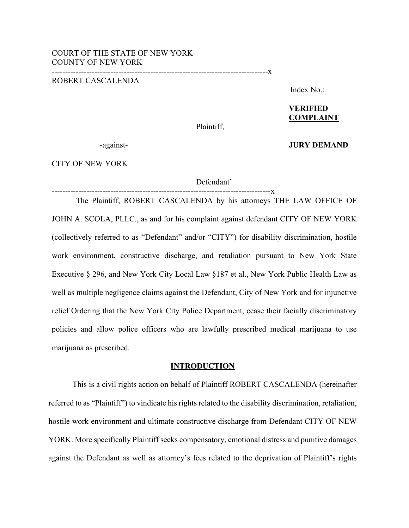---------------------------------------------------------------------------------x

# ROBERT CASCALENDA

Index No.:

# **VERIFIED COMPLAINT**

Plaintiff,

-against- **JURY DEMAND**

CITY OF NEW YORK

Defendant'

-----------------X

The Plaintiff, ROBERT CASCALENDA by his attorneys THE LAW OFFICE OF JOHN A. SCOLA, PLLC., as and for his complaint against defendant CITY OF NEW YORK (collectively referred to as "Defendant" and/or "CITY") for disability discrimination, hostile work environment. constructive discharge, and retaliation pursuant to New York State Executive § 296, and New York City Local Law §187 et al., New York Public Health Law as well as multiple negligence claims against the Defendant, City of New York and for injunctive relief Ordering that the New York City Police Department, cease their facially discriminatory policies and allow police officers who are lawfully prescribed medical marijuana to use marijuana as prescribed.

#### **INTRODUCTION**

This is a civil rights action on behalf of Plaintiff ROBERT CASCALENDA (hereinafter referred to as "Plaintiff") to vindicate his rights related to the disability discrimination, retaliation, hostile work environment and ultimate constructive discharge from Defendant CITY OF NEW YORK. More specifically Plaintiff seeks compensatory, emotional distress and punitive damages against the Defendant as well as attorney's fees related to the deprivation of Plaintiff's rights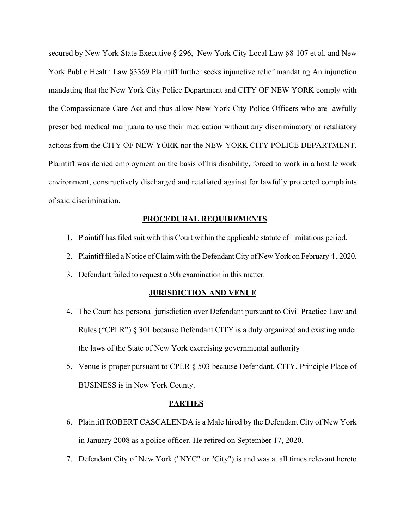secured by New York State Executive § 296, New York City Local Law §8-107 et al. and New York Public Health Law §3369 Plaintiff further seeks injunctive relief mandating An injunction mandating that the New York City Police Department and CITY OF NEW YORK comply with the Compassionate Care Act and thus allow New York City Police Officers who are lawfully prescribed medical marijuana to use their medication without any discriminatory or retaliatory actions from the CITY OF NEW YORK nor the NEW YORK CITY POLICE DEPARTMENT. Plaintiff was denied employment on the basis of his disability, forced to work in a hostile work environment, constructively discharged and retaliated against for lawfully protected complaints of said discrimination.

#### **PROCEDURAL REQUIREMENTS**

- 1. Plaintiff has filed suit with this Court within the applicable statute of limitations period.
- 2. Plaintiff filed a Notice of Claim with the Defendant City of New York on February 4 , 2020.
- 3. Defendant failed to request a 50h examination in this matter.

#### **JURISDICTION AND VENUE**

- 4. The Court has personal jurisdiction over Defendant pursuant to Civil Practice Law and Rules ("CPLR") § 301 because Defendant CITY is a duly organized and existing under the laws of the State of New York exercising governmental authority
- 5. Venue is proper pursuant to CPLR § 503 because Defendant, CITY, Principle Place of BUSINESS is in New York County.

### **PARTIES**

- 6. Plaintiff ROBERT CASCALENDA is a Male hired by the Defendant City of New York in January 2008 as a police officer. He retired on September 17, 2020.
- 7. Defendant City of New York ("NYC" or "City") is and was at all times relevant hereto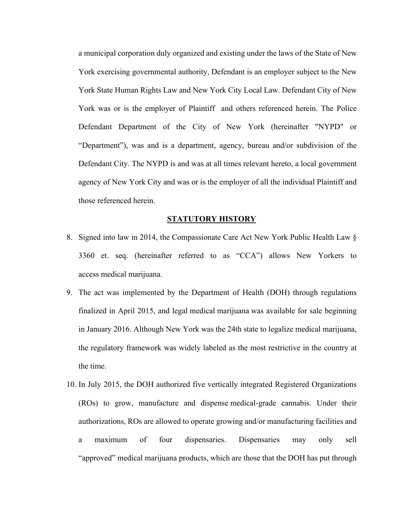a municipal corporation duly organized and existing under the laws of the State of New York exercising governmental authority, Defendant is an employer subject to the New York State Human Rights Law and New York City Local Law. Defendant City of New York was or is the employer of Plaintiff and others referenced herein. The Police Defendant Department of the City of New York (hereinafter "NYPD" or "Department"), was and is a department, agency, bureau and/or subdivision of the Defendant City. The NYPD is and was at all times relevant hereto, a local government agency of New York City and was or is the employer of all the individual Plaintiff and those referenced herein.

#### **STATUTORY HISTORY**

- 8. Signed into law in 2014, the Compassionate Care Act New York Public Health Law § 3360 et. seq. (hereinafter referred to as "CCA") allows New Yorkers to access medical marijuana.
- 9. The act was implemented by the Department of Health (DOH) through regulations finalized in April 2015, and legal medical marijuana was available for sale beginning in January 2016. Although New York was the 24th state to legalize medical marijuana, the regulatory framework was widely labeled as the most restrictive in the country at the time.
- 10. In July 2015, the DOH authorized five vertically integrated Registered Organizations (ROs) to grow, manufacture and dispense medical-grade cannabis. Under their authorizations, ROs are allowed to operate growing and/or manufacturing facilities and a maximum of four dispensaries. Dispensaries may only sell "approved" medical marijuana products, which are those that the DOH has put through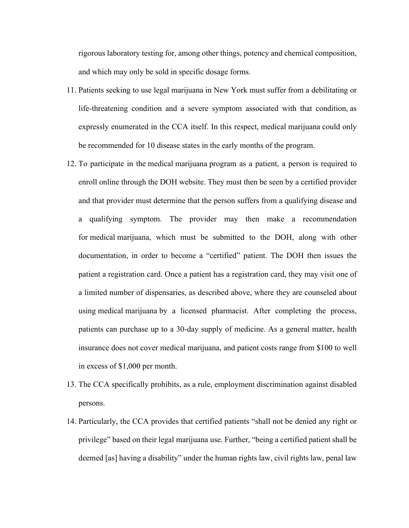rigorous laboratory testing for, among other things, potency and chemical composition, and which may only be sold in specific dosage forms.

- 11. Patients seeking to use legal marijuana in New York must suffer from a debilitating or life-threatening condition and a severe symptom associated with that condition, as expressly enumerated in the CCA itself. In this respect, medical marijuana could only be recommended for 10 disease states in the early months of the program.
- 12. To participate in the medical marijuana program as a patient, a person is required to enroll online through the DOH website. They must then be seen by a certified provider and that provider must determine that the person suffers from a qualifying disease and a qualifying symptom. The provider may then make a recommendation for medical marijuana, which must be submitted to the DOH, along with other documentation, in order to become a "certified" patient. The DOH then issues the patient a registration card. Once a patient has a registration card, they may visit one of a limited number of dispensaries, as described above, where they are counseled about using medical marijuana by a licensed pharmacist. After completing the process, patients can purchase up to a 30-day supply of medicine. As a general matter, health insurance does not cover medical marijuana, and patient costs range from \$100 to well in excess of \$1,000 per month.
- 13. The CCA specifically prohibits, as a rule, employment discrimination against disabled persons.
- 14. Particularly, the CCA provides that certified patients "shall not be denied any right or privilege" based on their legal marijuana use. Further, "being a certified patient shall be deemed [as] having a disability" under the human rights law, civil rights law, penal law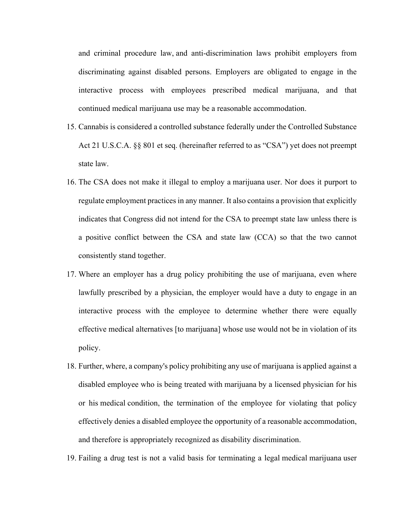and criminal procedure law, and anti-discrimination laws prohibit employers from discriminating against disabled persons. Employers are obligated to engage in the interactive process with employees prescribed medical marijuana, and that continued medical marijuana use may be a reasonable accommodation.

- 15. Cannabis is considered a controlled substance federally under the Controlled Substance Act 21 U.S.C.A. §§ 801 et seq. (hereinafter referred to as "CSA") yet does not preempt state law.
- 16. The CSA does not make it illegal to employ a marijuana user. Nor does it purport to regulate employment practices in any manner. It also contains a provision that explicitly indicates that Congress did not intend for the CSA to preempt state law unless there is a positive conflict between the CSA and state law (CCA) so that the two cannot consistently stand together.
- 17. Where an employer has a drug policy prohibiting the use of marijuana, even where lawfully prescribed by a physician, the employer would have a duty to engage in an interactive process with the employee to determine whether there were equally effective medical alternatives [to marijuana] whose use would not be in violation of its policy.
- 18. Further, where, a company's policy prohibiting any use of marijuana is applied against a disabled employee who is being treated with marijuana by a licensed physician for his or his medical condition, the termination of the employee for violating that policy effectively denies a disabled employee the opportunity of a reasonable accommodation, and therefore is appropriately recognized as disability discrimination.

19. Failing a drug test is not a valid basis for terminating a legal medical marijuana user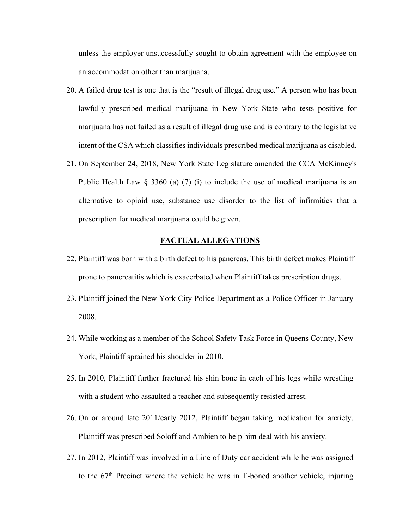unless the employer unsuccessfully sought to obtain agreement with the employee on an accommodation other than marijuana.

- 20. A failed drug test is one that is the "result of illegal drug use." A person who has been lawfully prescribed medical marijuana in New York State who tests positive for marijuana has not failed as a result of illegal drug use and is contrary to the legislative intent of the CSA which classifies individuals prescribed medical marijuana as disabled.
- 21. On September 24, 2018, New York State Legislature amended the CCA McKinney's Public Health Law  $\S$  3360 (a) (7) (i) to include the use of medical marijuana is an alternative to opioid use, substance use disorder to the list of infirmities that a prescription for medical marijuana could be given.

#### **FACTUAL ALLEGATIONS**

- 22. Plaintiff was born with a birth defect to his pancreas. This birth defect makes Plaintiff prone to pancreatitis which is exacerbated when Plaintiff takes prescription drugs.
- 23. Plaintiff joined the New York City Police Department as a Police Officer in January 2008.
- 24. While working as a member of the School Safety Task Force in Queens County, New York, Plaintiff sprained his shoulder in 2010.
- 25. In 2010, Plaintiff further fractured his shin bone in each of his legs while wrestling with a student who assaulted a teacher and subsequently resisted arrest.
- 26. On or around late 2011/early 2012, Plaintiff began taking medication for anxiety. Plaintiff was prescribed Soloff and Ambien to help him deal with his anxiety.
- 27. In 2012, Plaintiff was involved in a Line of Duty car accident while he was assigned to the 67<sup>th</sup> Precinct where the vehicle he was in T-boned another vehicle, injuring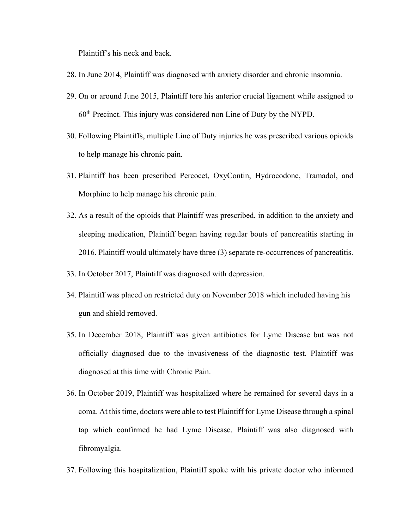Plaintiff's his neck and back.

- 28. In June 2014, Plaintiff was diagnosed with anxiety disorder and chronic insomnia.
- 29. On or around June 2015, Plaintiff tore his anterior crucial ligament while assigned to  $60<sup>th</sup>$  Precinct. This injury was considered non Line of Duty by the NYPD.
- 30. Following Plaintiffs, multiple Line of Duty injuries he was prescribed various opioids to help manage his chronic pain.
- 31. Plaintiff has been prescribed Percocet, OxyContin, Hydrocodone, Tramadol, and Morphine to help manage his chronic pain.
- 32. As a result of the opioids that Plaintiff was prescribed, in addition to the anxiety and sleeping medication, Plaintiff began having regular bouts of pancreatitis starting in 2016. Plaintiff would ultimately have three (3) separate re-occurrences of pancreatitis.
- 33. In October 2017, Plaintiff was diagnosed with depression.
- 34. Plaintiff was placed on restricted duty on November 2018 which included having his gun and shield removed.
- 35. In December 2018, Plaintiff was given antibiotics for Lyme Disease but was not officially diagnosed due to the invasiveness of the diagnostic test. Plaintiff was diagnosed at this time with Chronic Pain.
- 36. In October 2019, Plaintiff was hospitalized where he remained for several days in a coma. At this time, doctors were able to test Plaintiff for Lyme Disease through a spinal tap which confirmed he had Lyme Disease. Plaintiff was also diagnosed with fibromyalgia.
- 37. Following this hospitalization, Plaintiff spoke with his private doctor who informed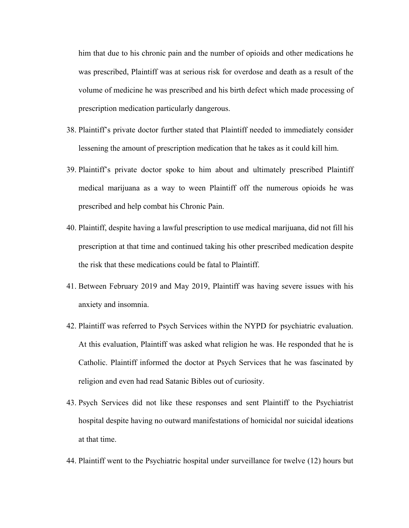him that due to his chronic pain and the number of opioids and other medications he was prescribed, Plaintiff was at serious risk for overdose and death as a result of the volume of medicine he was prescribed and his birth defect which made processing of prescription medication particularly dangerous.

- 38. Plaintiff's private doctor further stated that Plaintiff needed to immediately consider lessening the amount of prescription medication that he takes as it could kill him.
- 39. Plaintiff's private doctor spoke to him about and ultimately prescribed Plaintiff medical marijuana as a way to ween Plaintiff off the numerous opioids he was prescribed and help combat his Chronic Pain.
- 40. Plaintiff, despite having a lawful prescription to use medical marijuana, did not fill his prescription at that time and continued taking his other prescribed medication despite the risk that these medications could be fatal to Plaintiff.
- 41. Between February 2019 and May 2019, Plaintiff was having severe issues with his anxiety and insomnia.
- 42. Plaintiff was referred to Psych Services within the NYPD for psychiatric evaluation. At this evaluation, Plaintiff was asked what religion he was. He responded that he is Catholic. Plaintiff informed the doctor at Psych Services that he was fascinated by religion and even had read Satanic Bibles out of curiosity.
- 43. Psych Services did not like these responses and sent Plaintiff to the Psychiatrist hospital despite having no outward manifestations of homicidal nor suicidal ideations at that time.
- 44. Plaintiff went to the Psychiatric hospital under surveillance for twelve (12) hours but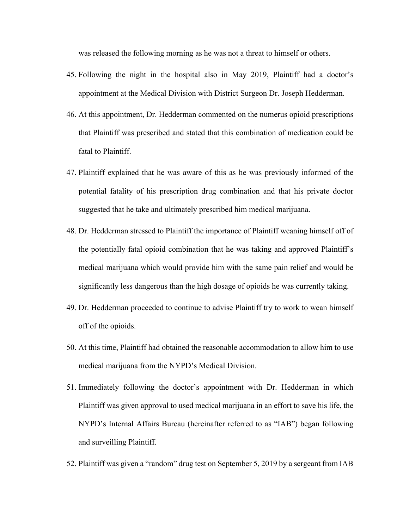was released the following morning as he was not a threat to himself or others.

- 45. Following the night in the hospital also in May 2019, Plaintiff had a doctor's appointment at the Medical Division with District Surgeon Dr. Joseph Hedderman.
- 46. At this appointment, Dr. Hedderman commented on the numerus opioid prescriptions that Plaintiff was prescribed and stated that this combination of medication could be fatal to Plaintiff.
- 47. Plaintiff explained that he was aware of this as he was previously informed of the potential fatality of his prescription drug combination and that his private doctor suggested that he take and ultimately prescribed him medical marijuana.
- 48. Dr. Hedderman stressed to Plaintiff the importance of Plaintiff weaning himself off of the potentially fatal opioid combination that he was taking and approved Plaintiff's medical marijuana which would provide him with the same pain relief and would be significantly less dangerous than the high dosage of opioids he was currently taking.
- 49. Dr. Hedderman proceeded to continue to advise Plaintiff try to work to wean himself off of the opioids.
- 50. At this time, Plaintiff had obtained the reasonable accommodation to allow him to use medical marijuana from the NYPD's Medical Division.
- 51. Immediately following the doctor's appointment with Dr. Hedderman in which Plaintiff was given approval to used medical marijuana in an effort to save his life, the NYPD's Internal Affairs Bureau (hereinafter referred to as "IAB") began following and surveilling Plaintiff.
- 52. Plaintiff was given a "random" drug test on September 5, 2019 by a sergeant from IAB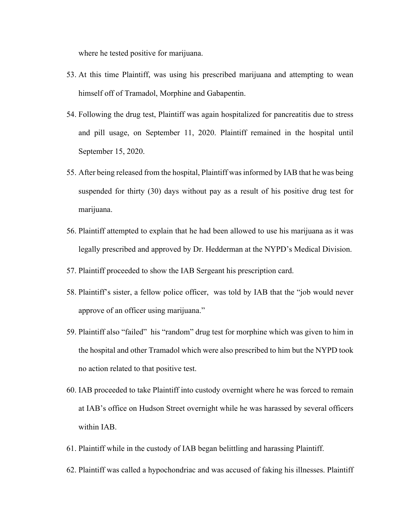where he tested positive for marijuana.

- 53. At this time Plaintiff, was using his prescribed marijuana and attempting to wean himself off of Tramadol, Morphine and Gabapentin.
- 54. Following the drug test, Plaintiff was again hospitalized for pancreatitis due to stress and pill usage, on September 11, 2020. Plaintiff remained in the hospital until September 15, 2020.
- 55. After being released from the hospital, Plaintiff was informed by IAB that he was being suspended for thirty (30) days without pay as a result of his positive drug test for marijuana.
- 56. Plaintiff attempted to explain that he had been allowed to use his marijuana as it was legally prescribed and approved by Dr. Hedderman at the NYPD's Medical Division.
- 57. Plaintiff proceeded to show the IAB Sergeant his prescription card.
- 58. Plaintiff's sister, a fellow police officer, was told by IAB that the "job would never approve of an officer using marijuana."
- 59. Plaintiff also "failed" his "random" drug test for morphine which was given to him in the hospital and other Tramadol which were also prescribed to him but the NYPD took no action related to that positive test.
- 60. IAB proceeded to take Plaintiff into custody overnight where he was forced to remain at IAB's office on Hudson Street overnight while he was harassed by several officers within IAB.
- 61. Plaintiff while in the custody of IAB began belittling and harassing Plaintiff.
- 62. Plaintiff was called a hypochondriac and was accused of faking his illnesses. Plaintiff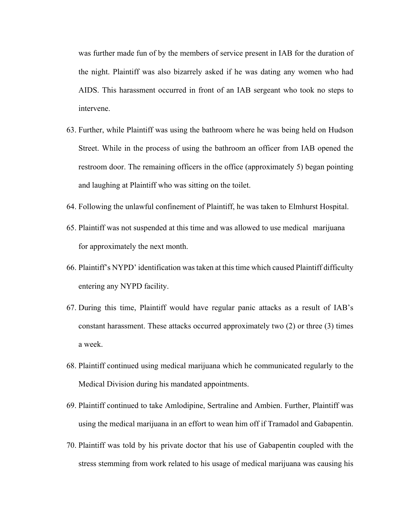was further made fun of by the members of service present in IAB for the duration of the night. Plaintiff was also bizarrely asked if he was dating any women who had AIDS. This harassment occurred in front of an IAB sergeant who took no steps to intervene.

- 63. Further, while Plaintiff was using the bathroom where he was being held on Hudson Street. While in the process of using the bathroom an officer from IAB opened the restroom door. The remaining officers in the office (approximately 5) began pointing and laughing at Plaintiff who was sitting on the toilet.
- 64. Following the unlawful confinement of Plaintiff, he was taken to Elmhurst Hospital.
- 65. Plaintiff was not suspended at this time and was allowed to use medical marijuana for approximately the next month.
- 66. Plaintiff's NYPD' identification was taken at this time which caused Plaintiff difficulty entering any NYPD facility.
- 67. During this time, Plaintiff would have regular panic attacks as a result of IAB's constant harassment. These attacks occurred approximately two (2) or three (3) times a week.
- 68. Plaintiff continued using medical marijuana which he communicated regularly to the Medical Division during his mandated appointments.
- 69. Plaintiff continued to take Amlodipine, Sertraline and Ambien. Further, Plaintiff was using the medical marijuana in an effort to wean him off if Tramadol and Gabapentin.
- 70. Plaintiff was told by his private doctor that his use of Gabapentin coupled with the stress stemming from work related to his usage of medical marijuana was causing his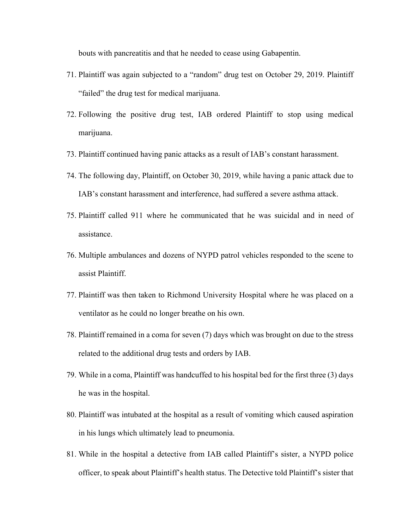bouts with pancreatitis and that he needed to cease using Gabapentin.

- 71. Plaintiff was again subjected to a "random" drug test on October 29, 2019. Plaintiff "failed" the drug test for medical marijuana.
- 72. Following the positive drug test, IAB ordered Plaintiff to stop using medical marijuana.
- 73. Plaintiff continued having panic attacks as a result of IAB's constant harassment.
- 74. The following day, Plaintiff, on October 30, 2019, while having a panic attack due to IAB's constant harassment and interference, had suffered a severe asthma attack.
- 75. Plaintiff called 911 where he communicated that he was suicidal and in need of assistance.
- 76. Multiple ambulances and dozens of NYPD patrol vehicles responded to the scene to assist Plaintiff.
- 77. Plaintiff was then taken to Richmond University Hospital where he was placed on a ventilator as he could no longer breathe on his own.
- 78. Plaintiff remained in a coma for seven (7) days which was brought on due to the stress related to the additional drug tests and orders by IAB.
- 79. While in a coma, Plaintiff was handcuffed to his hospital bed for the first three (3) days he was in the hospital.
- 80. Plaintiff was intubated at the hospital as a result of vomiting which caused aspiration in his lungs which ultimately lead to pneumonia.
- 81. While in the hospital a detective from IAB called Plaintiff's sister, a NYPD police officer, to speak about Plaintiff's health status. The Detective told Plaintiff's sister that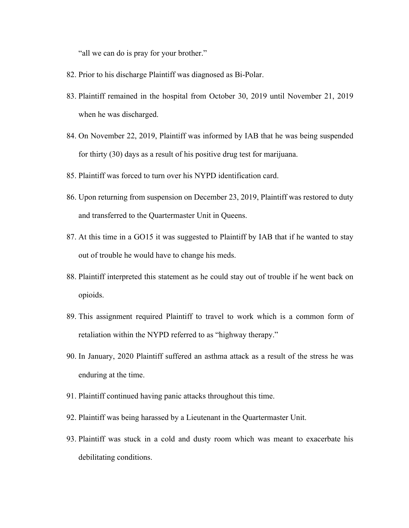"all we can do is pray for your brother."

- 82. Prior to his discharge Plaintiff was diagnosed as Bi-Polar.
- 83. Plaintiff remained in the hospital from October 30, 2019 until November 21, 2019 when he was discharged.
- 84. On November 22, 2019, Plaintiff was informed by IAB that he was being suspended for thirty (30) days as a result of his positive drug test for marijuana.
- 85. Plaintiff was forced to turn over his NYPD identification card.
- 86. Upon returning from suspension on December 23, 2019, Plaintiff was restored to duty and transferred to the Quartermaster Unit in Queens.
- 87. At this time in a GO15 it was suggested to Plaintiff by IAB that if he wanted to stay out of trouble he would have to change his meds.
- 88. Plaintiff interpreted this statement as he could stay out of trouble if he went back on opioids.
- 89. This assignment required Plaintiff to travel to work which is a common form of retaliation within the NYPD referred to as "highway therapy."
- 90. In January, 2020 Plaintiff suffered an asthma attack as a result of the stress he was enduring at the time.
- 91. Plaintiff continued having panic attacks throughout this time.
- 92. Plaintiff was being harassed by a Lieutenant in the Quartermaster Unit.
- 93. Plaintiff was stuck in a cold and dusty room which was meant to exacerbate his debilitating conditions.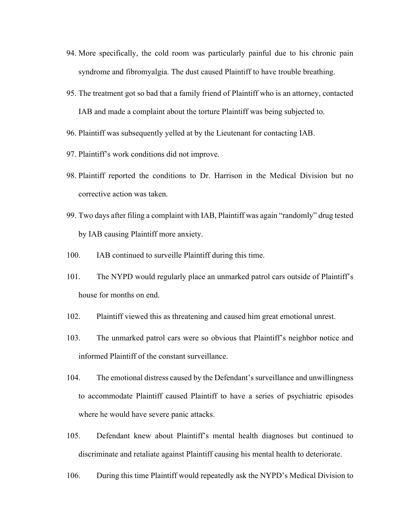- 94. More specifically, the cold room was particularly painful due to his chronic pain syndrome and fibromyalgia. The dust caused Plaintiff to have trouble breathing.
- 95. The treatment got so bad that a family friend of Plaintiff who is an attorney, contacted IAB and made a complaint about the torture Plaintiff was being subjected to.
- 96. Plaintiff was subsequently yelled at by the Lieutenant for contacting IAB.
- 97. Plaintiff's work conditions did not improve.
- 98. Plaintiff reported the conditions to Dr. Harrison in the Medical Division but no corrective action was taken.
- 99. Two days after filing a complaint with IAB, Plaintiff was again "randomly" drug tested by IAB causing Plaintiff more anxiety.
- 100. IAB continued to surveille Plaintiff during this time.
- 101. The NYPD would regularly place an unmarked patrol cars outside of Plaintiff's house for months on end.
- 102. Plaintiff viewed this as threatening and caused him great emotional unrest.
- 103. The unmarked patrol cars were so obvious that Plaintiff's neighbor notice and informed Plaintiff of the constant surveillance.
- 104. The emotional distress caused by the Defendant's surveillance and unwillingness to accommodate Plaintiff caused Plaintiff to have a series of psychiatric episodes where he would have severe panic attacks.
- 105. Defendant knew about Plaintiff's mental health diagnoses but continued to discriminate and retaliate against Plaintiff causing his mental health to deteriorate.
- 106. During this time Plaintiff would repeatedly ask the NYPD's Medical Division to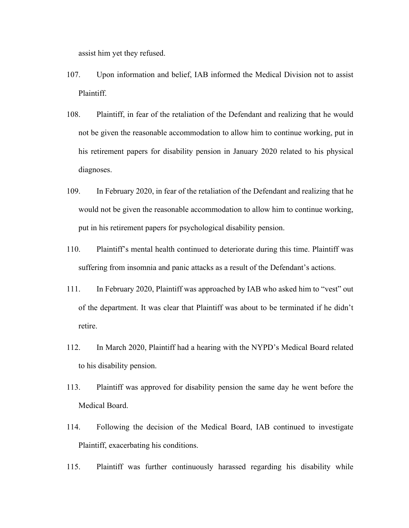assist him yet they refused.

- 107. Upon information and belief, IAB informed the Medical Division not to assist Plaintiff.
- 108. Plaintiff, in fear of the retaliation of the Defendant and realizing that he would not be given the reasonable accommodation to allow him to continue working, put in his retirement papers for disability pension in January 2020 related to his physical diagnoses.
- 109. In February 2020, in fear of the retaliation of the Defendant and realizing that he would not be given the reasonable accommodation to allow him to continue working, put in his retirement papers for psychological disability pension.
- 110. Plaintiff's mental health continued to deteriorate during this time. Plaintiff was suffering from insomnia and panic attacks as a result of the Defendant's actions.
- 111. In February 2020, Plaintiff was approached by IAB who asked him to "vest" out of the department. It was clear that Plaintiff was about to be terminated if he didn't retire.
- 112. In March 2020, Plaintiff had a hearing with the NYPD's Medical Board related to his disability pension.
- 113. Plaintiff was approved for disability pension the same day he went before the Medical Board.
- 114. Following the decision of the Medical Board, IAB continued to investigate Plaintiff, exacerbating his conditions.
- 115. Plaintiff was further continuously harassed regarding his disability while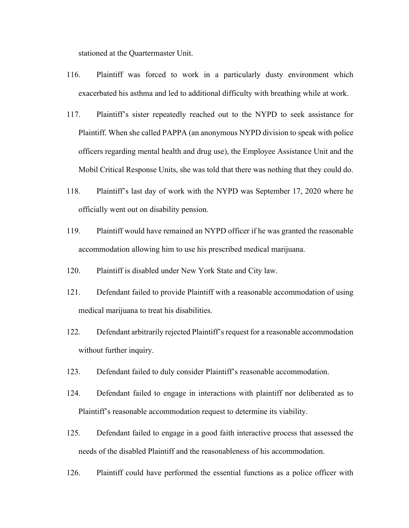stationed at the Quartermaster Unit.

- 116. Plaintiff was forced to work in a particularly dusty environment which exacerbated his asthma and led to additional difficulty with breathing while at work.
- 117. Plaintiff's sister repeatedly reached out to the NYPD to seek assistance for Plaintiff. When she called PAPPA (an anonymous NYPD division to speak with police officers regarding mental health and drug use), the Employee Assistance Unit and the Mobil Critical Response Units, she was told that there was nothing that they could do.
- 118. Plaintiff's last day of work with the NYPD was September 17, 2020 where he officially went out on disability pension.
- 119. Plaintiff would have remained an NYPD officer if he was granted the reasonable accommodation allowing him to use his prescribed medical marijuana.
- 120. Plaintiff is disabled under New York State and City law.
- 121. Defendant failed to provide Plaintiff with a reasonable accommodation of using medical marijuana to treat his disabilities.
- 122. Defendant arbitrarily rejected Plaintiff's request for a reasonable accommodation without further inquiry.
- 123. Defendant failed to duly consider Plaintiff's reasonable accommodation.
- 124. Defendant failed to engage in interactions with plaintiff nor deliberated as to Plaintiff's reasonable accommodation request to determine its viability.
- 125. Defendant failed to engage in a good faith interactive process that assessed the needs of the disabled Plaintiff and the reasonableness of his accommodation.
- 126. Plaintiff could have performed the essential functions as a police officer with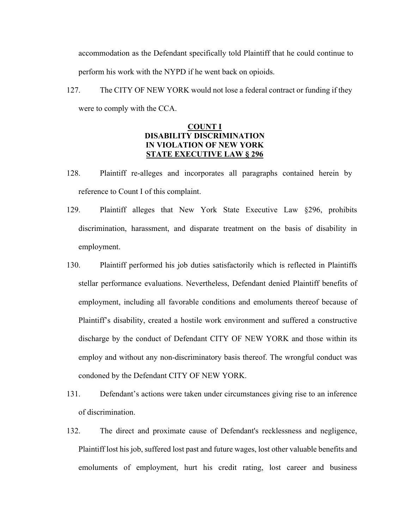accommodation as the Defendant specifically told Plaintiff that he could continue to perform his work with the NYPD if he went back on opioids.

127. The CITY OF NEW YORK would not lose a federal contract or funding if they were to comply with the CCA.

### **COUNT I DISABILITY DISCRIMINATION IN VIOLATION OF NEW YORK STATE EXECUTIVE LAW § 296**

- 128. Plaintiff re-alleges and incorporates all paragraphs contained herein by reference to Count I of this complaint.
- 129. Plaintiff alleges that New York State Executive Law §296, prohibits discrimination, harassment, and disparate treatment on the basis of disability in employment.
- 130. Plaintiff performed his job duties satisfactorily which is reflected in Plaintiffs stellar performance evaluations. Nevertheless, Defendant denied Plaintiff benefits of employment, including all favorable conditions and emoluments thereof because of Plaintiff's disability, created a hostile work environment and suffered a constructive discharge by the conduct of Defendant CITY OF NEW YORK and those within its employ and without any non-discriminatory basis thereof. The wrongful conduct was condoned by the Defendant CITY OF NEW YORK.
- 131. Defendant's actions were taken under circumstances giving rise to an inference of discrimination.
- 132. The direct and proximate cause of Defendant's recklessness and negligence, Plaintiff lost his job, suffered lost past and future wages, lost other valuable benefits and emoluments of employment, hurt his credit rating, lost career and business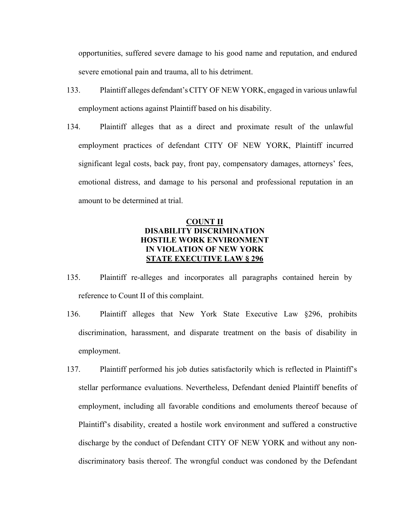opportunities, suffered severe damage to his good name and reputation, and endured severe emotional pain and trauma, all to his detriment.

- 133. Plaintiff alleges defendant's CITY OF NEW YORK, engaged in various unlawful employment actions against Plaintiff based on his disability.
- 134. Plaintiff alleges that as a direct and proximate result of the unlawful employment practices of defendant CITY OF NEW YORK, Plaintiff incurred significant legal costs, back pay, front pay, compensatory damages, attorneys' fees, emotional distress, and damage to his personal and professional reputation in an amount to be determined at trial.

# **COUNT II DISABILITY DISCRIMINATION HOSTILE WORK ENVIRONMENT IN VIOLATION OF NEW YORK STATE EXECUTIVE LAW § 296**

- 135. Plaintiff re-alleges and incorporates all paragraphs contained herein by reference to Count II of this complaint.
- 136. Plaintiff alleges that New York State Executive Law §296, prohibits discrimination, harassment, and disparate treatment on the basis of disability in employment.
- 137. Plaintiff performed his job duties satisfactorily which is reflected in Plaintiff's stellar performance evaluations. Nevertheless, Defendant denied Plaintiff benefits of employment, including all favorable conditions and emoluments thereof because of Plaintiff's disability, created a hostile work environment and suffered a constructive discharge by the conduct of Defendant CITY OF NEW YORK and without any nondiscriminatory basis thereof. The wrongful conduct was condoned by the Defendant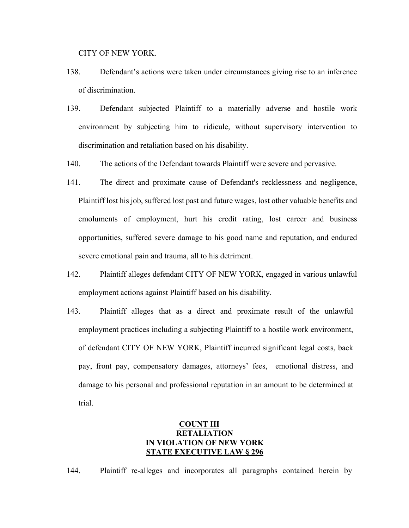CITY OF NEW YORK.

- 138. Defendant's actions were taken under circumstances giving rise to an inference of discrimination.
- 139. Defendant subjected Plaintiff to a materially adverse and hostile work environment by subjecting him to ridicule, without supervisory intervention to discrimination and retaliation based on his disability.
- 140. The actions of the Defendant towards Plaintiff were severe and pervasive.
- 141. The direct and proximate cause of Defendant's recklessness and negligence, Plaintiff lost his job, suffered lost past and future wages, lost other valuable benefits and emoluments of employment, hurt his credit rating, lost career and business opportunities, suffered severe damage to his good name and reputation, and endured severe emotional pain and trauma, all to his detriment.
- 142. Plaintiff alleges defendant CITY OF NEW YORK, engaged in various unlawful employment actions against Plaintiff based on his disability.
- 143. Plaintiff alleges that as a direct and proximate result of the unlawful employment practices including a subjecting Plaintiff to a hostile work environment, of defendant CITY OF NEW YORK, Plaintiff incurred significant legal costs, back pay, front pay, compensatory damages, attorneys' fees, emotional distress, and damage to his personal and professional reputation in an amount to be determined at trial.

# **COUNT III RETALIATION IN VIOLATION OF NEW YORK STATE EXECUTIVE LAW § 296**

144. Plaintiff re-alleges and incorporates all paragraphs contained herein by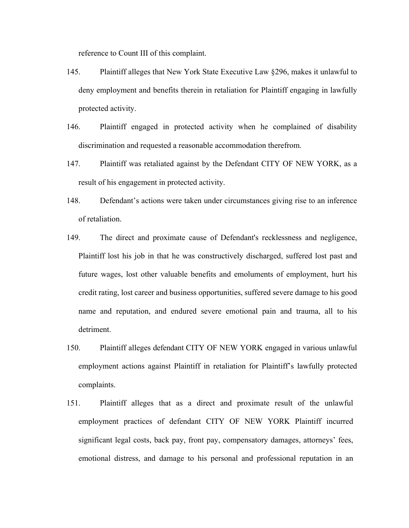reference to Count III of this complaint.

- 145. Plaintiff alleges that New York State Executive Law §296, makes it unlawful to deny employment and benefits therein in retaliation for Plaintiff engaging in lawfully protected activity.
- 146. Plaintiff engaged in protected activity when he complained of disability discrimination and requested a reasonable accommodation therefrom.
- 147. Plaintiff was retaliated against by the Defendant CITY OF NEW YORK, as a result of his engagement in protected activity.
- 148. Defendant's actions were taken under circumstances giving rise to an inference of retaliation.
- 149. The direct and proximate cause of Defendant's recklessness and negligence, Plaintiff lost his job in that he was constructively discharged, suffered lost past and future wages, lost other valuable benefits and emoluments of employment, hurt his credit rating, lost career and business opportunities, suffered severe damage to his good name and reputation, and endured severe emotional pain and trauma, all to his detriment.
- 150. Plaintiff alleges defendant CITY OF NEW YORK engaged in various unlawful employment actions against Plaintiff in retaliation for Plaintiff's lawfully protected complaints.
- 151. Plaintiff alleges that as a direct and proximate result of the unlawful employment practices of defendant CITY OF NEW YORK Plaintiff incurred significant legal costs, back pay, front pay, compensatory damages, attorneys' fees, emotional distress, and damage to his personal and professional reputation in an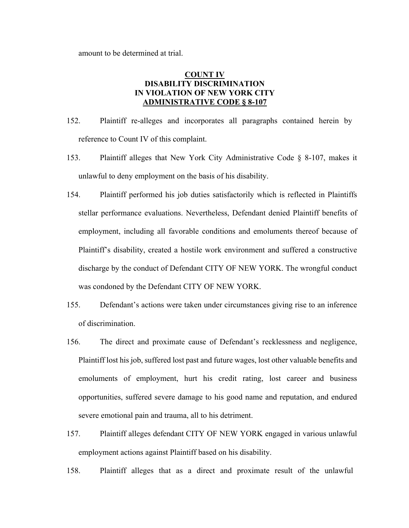amount to be determined at trial.

# **COUNT IV DISABILITY DISCRIMINATION IN VIOLATION OF NEW YORK CITY ADMINISTRATIVE CODE § 8-107**

- 152. Plaintiff re-alleges and incorporates all paragraphs contained herein by reference to Count IV of this complaint.
- 153. Plaintiff alleges that New York City Administrative Code § 8-107, makes it unlawful to deny employment on the basis of his disability.
- 154. Plaintiff performed his job duties satisfactorily which is reflected in Plaintiffs stellar performance evaluations. Nevertheless, Defendant denied Plaintiff benefits of employment, including all favorable conditions and emoluments thereof because of Plaintiff's disability, created a hostile work environment and suffered a constructive discharge by the conduct of Defendant CITY OF NEW YORK. The wrongful conduct was condoned by the Defendant CITY OF NEW YORK.
- 155. Defendant's actions were taken under circumstances giving rise to an inference of discrimination.
- 156. The direct and proximate cause of Defendant's recklessness and negligence, Plaintiff lost his job, suffered lost past and future wages, lost other valuable benefits and emoluments of employment, hurt his credit rating, lost career and business opportunities, suffered severe damage to his good name and reputation, and endured severe emotional pain and trauma, all to his detriment.
- 157. Plaintiff alleges defendant CITY OF NEW YORK engaged in various unlawful employment actions against Plaintiff based on his disability.
- 158. Plaintiff alleges that as a direct and proximate result of the unlawful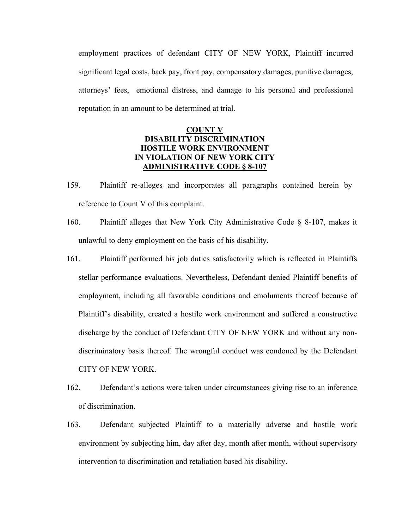employment practices of defendant CITY OF NEW YORK, Plaintiff incurred significant legal costs, back pay, front pay, compensatory damages, punitive damages, attorneys' fees, emotional distress, and damage to his personal and professional reputation in an amount to be determined at trial.

# **COUNT V DISABILITY DISCRIMINATION HOSTILE WORK ENVIRONMENT IN VIOLATION OF NEW YORK CITY ADMINISTRATIVE CODE § 8-107**

- 159. Plaintiff re-alleges and incorporates all paragraphs contained herein by reference to Count V of this complaint.
- 160. Plaintiff alleges that New York City Administrative Code § 8-107, makes it unlawful to deny employment on the basis of his disability.
- 161. Plaintiff performed his job duties satisfactorily which is reflected in Plaintiffs stellar performance evaluations. Nevertheless, Defendant denied Plaintiff benefits of employment, including all favorable conditions and emoluments thereof because of Plaintiff's disability, created a hostile work environment and suffered a constructive discharge by the conduct of Defendant CITY OF NEW YORK and without any nondiscriminatory basis thereof. The wrongful conduct was condoned by the Defendant CITY OF NEW YORK.
- 162. Defendant's actions were taken under circumstances giving rise to an inference of discrimination.
- 163. Defendant subjected Plaintiff to a materially adverse and hostile work environment by subjecting him, day after day, month after month, without supervisory intervention to discrimination and retaliation based his disability.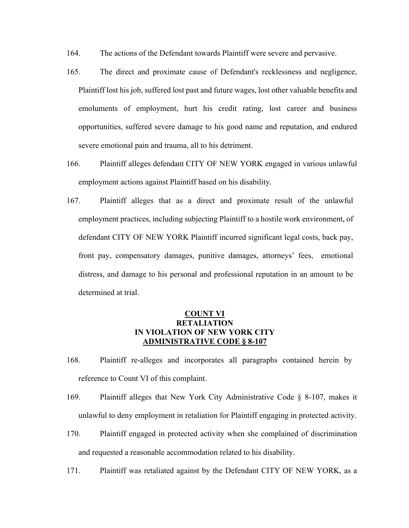- 164. The actions of the Defendant towards Plaintiff were severe and pervasive.
- 165. The direct and proximate cause of Defendant's recklessness and negligence, Plaintiff lost his job, suffered lost past and future wages, lost other valuable benefits and emoluments of employment, hurt his credit rating, lost career and business opportunities, suffered severe damage to his good name and reputation, and endured severe emotional pain and trauma, all to his detriment.
- 166. Plaintiff alleges defendant CITY OF NEW YORK engaged in various unlawful employment actions against Plaintiff based on his disability.
- 167. Plaintiff alleges that as a direct and proximate result of the unlawful employment practices, including subjecting Plaintiff to a hostile work environment, of defendant CITY OF NEW YORK Plaintiff incurred significant legal costs, back pay, front pay, compensatory damages, punitive damages, attorneys' fees, emotional distress, and damage to his personal and professional reputation in an amount to be determined at trial.

# **COUNT VI RETALIATION IN VIOLATION OF NEW YORK CITY ADMINISTRATIVE CODE § 8-107**

- 168. Plaintiff re-alleges and incorporates all paragraphs contained herein by reference to Count VI of this complaint.
- 169. Plaintiff alleges that New York City Administrative Code § 8-107, makes it unlawful to deny employment in retaliation for Plaintiff engaging in protected activity.
- 170. Plaintiff engaged in protected activity when she complained of discrimination and requested a reasonable accommodation related to his disability.
- 171. Plaintiff was retaliated against by the Defendant CITY OF NEW YORK, as a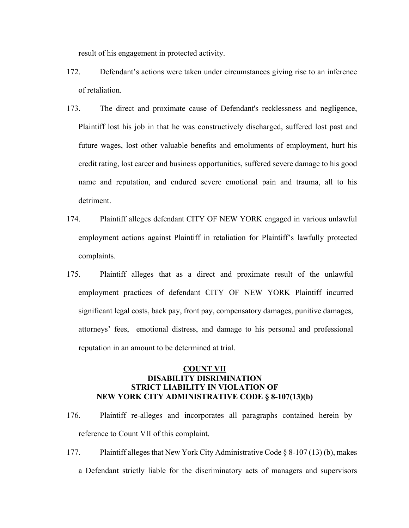result of his engagement in protected activity.

- 172. Defendant's actions were taken under circumstances giving rise to an inference of retaliation.
- 173. The direct and proximate cause of Defendant's recklessness and negligence, Plaintiff lost his job in that he was constructively discharged, suffered lost past and future wages, lost other valuable benefits and emoluments of employment, hurt his credit rating, lost career and business opportunities, suffered severe damage to his good name and reputation, and endured severe emotional pain and trauma, all to his detriment.
- 174. Plaintiff alleges defendant CITY OF NEW YORK engaged in various unlawful employment actions against Plaintiff in retaliation for Plaintiff's lawfully protected complaints.
- 175. Plaintiff alleges that as a direct and proximate result of the unlawful employment practices of defendant CITY OF NEW YORK Plaintiff incurred significant legal costs, back pay, front pay, compensatory damages, punitive damages, attorneys' fees, emotional distress, and damage to his personal and professional reputation in an amount to be determined at trial.

# **COUNT VII DISABILITY DISRIMINATION STRICT LIABILITY IN VIOLATION OF NEW YORK CITY ADMINISTRATIVE CODE § 8-107(13)(b)**

- 176. Plaintiff re-alleges and incorporates all paragraphs contained herein by reference to Count VII of this complaint.
- 177. Plaintiff alleges that New York City Administrative Code § 8-107 (13) (b), makes a Defendant strictly liable for the discriminatory acts of managers and supervisors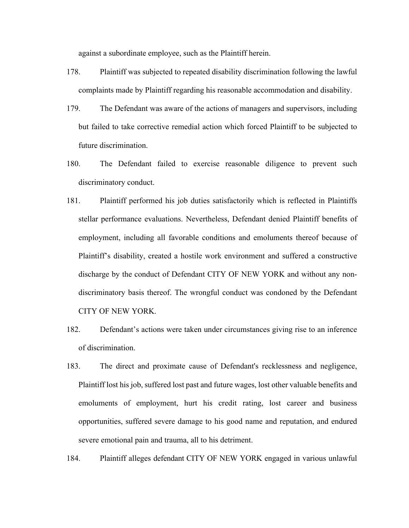against a subordinate employee, such as the Plaintiff herein.

- 178. Plaintiff was subjected to repeated disability discrimination following the lawful complaints made by Plaintiff regarding his reasonable accommodation and disability.
- 179. The Defendant was aware of the actions of managers and supervisors, including but failed to take corrective remedial action which forced Plaintiff to be subjected to future discrimination.
- 180. The Defendant failed to exercise reasonable diligence to prevent such discriminatory conduct.
- 181. Plaintiff performed his job duties satisfactorily which is reflected in Plaintiffs stellar performance evaluations. Nevertheless, Defendant denied Plaintiff benefits of employment, including all favorable conditions and emoluments thereof because of Plaintiff's disability, created a hostile work environment and suffered a constructive discharge by the conduct of Defendant CITY OF NEW YORK and without any nondiscriminatory basis thereof. The wrongful conduct was condoned by the Defendant CITY OF NEW YORK.
- 182. Defendant's actions were taken under circumstances giving rise to an inference of discrimination.
- 183. The direct and proximate cause of Defendant's recklessness and negligence, Plaintiff lost his job, suffered lost past and future wages, lost other valuable benefits and emoluments of employment, hurt his credit rating, lost career and business opportunities, suffered severe damage to his good name and reputation, and endured severe emotional pain and trauma, all to his detriment.

184. Plaintiff alleges defendant CITY OF NEW YORK engaged in various unlawful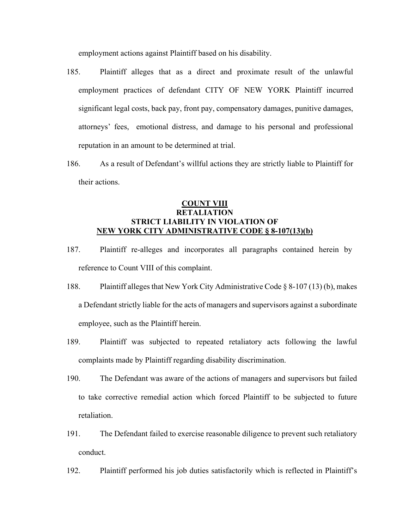employment actions against Plaintiff based on his disability.

- 185. Plaintiff alleges that as a direct and proximate result of the unlawful employment practices of defendant CITY OF NEW YORK Plaintiff incurred significant legal costs, back pay, front pay, compensatory damages, punitive damages, attorneys' fees, emotional distress, and damage to his personal and professional reputation in an amount to be determined at trial.
- 186. As a result of Defendant's willful actions they are strictly liable to Plaintiff for their actions.

# **COUNT VIII RETALIATION STRICT LIABILITY IN VIOLATION OF NEW YORK CITY ADMINISTRATIVE CODE § 8-107(13)(b)**

- 187. Plaintiff re-alleges and incorporates all paragraphs contained herein by reference to Count VIII of this complaint.
- 188. Plaintiff alleges that New York City Administrative Code § 8-107 (13) (b), makes a Defendant strictly liable for the acts of managers and supervisors against a subordinate employee, such as the Plaintiff herein.
- 189. Plaintiff was subjected to repeated retaliatory acts following the lawful complaints made by Plaintiff regarding disability discrimination.
- 190. The Defendant was aware of the actions of managers and supervisors but failed to take corrective remedial action which forced Plaintiff to be subjected to future retaliation.
- 191. The Defendant failed to exercise reasonable diligence to prevent such retaliatory conduct.
- 192. Plaintiff performed his job duties satisfactorily which is reflected in Plaintiff's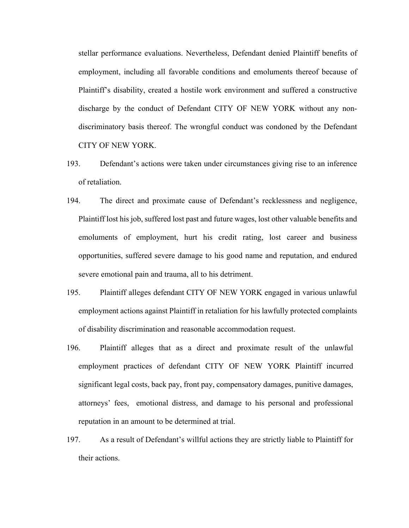stellar performance evaluations. Nevertheless, Defendant denied Plaintiff benefits of employment, including all favorable conditions and emoluments thereof because of Plaintiff's disability, created a hostile work environment and suffered a constructive discharge by the conduct of Defendant CITY OF NEW YORK without any nondiscriminatory basis thereof. The wrongful conduct was condoned by the Defendant CITY OF NEW YORK.

- 193. Defendant's actions were taken under circumstances giving rise to an inference of retaliation.
- 194. The direct and proximate cause of Defendant's recklessness and negligence, Plaintiff lost his job, suffered lost past and future wages, lost other valuable benefits and emoluments of employment, hurt his credit rating, lost career and business opportunities, suffered severe damage to his good name and reputation, and endured severe emotional pain and trauma, all to his detriment.
- 195. Plaintiff alleges defendant CITY OF NEW YORK engaged in various unlawful employment actions against Plaintiff in retaliation for his lawfully protected complaints of disability discrimination and reasonable accommodation request.
- 196. Plaintiff alleges that as a direct and proximate result of the unlawful employment practices of defendant CITY OF NEW YORK Plaintiff incurred significant legal costs, back pay, front pay, compensatory damages, punitive damages, attorneys' fees, emotional distress, and damage to his personal and professional reputation in an amount to be determined at trial.
- 197. As a result of Defendant's willful actions they are strictly liable to Plaintiff for their actions.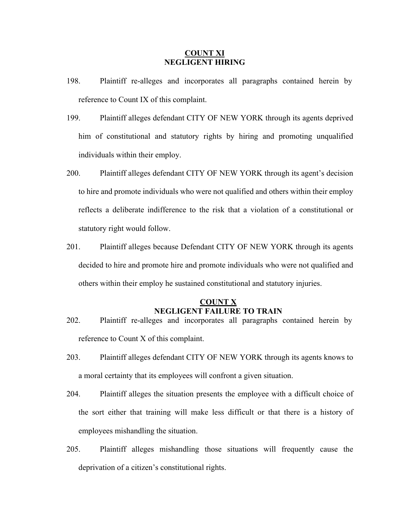### **COUNT XI NEGLIGENT HIRING**

- 198. Plaintiff re-alleges and incorporates all paragraphs contained herein by reference to Count IX of this complaint.
- 199. Plaintiff alleges defendant CITY OF NEW YORK through its agents deprived him of constitutional and statutory rights by hiring and promoting unqualified individuals within their employ.
- 200. Plaintiff alleges defendant CITY OF NEW YORK through its agent's decision to hire and promote individuals who were not qualified and others within their employ reflects a deliberate indifference to the risk that a violation of a constitutional or statutory right would follow.
- 201. Plaintiff alleges because Defendant CITY OF NEW YORK through its agents decided to hire and promote hire and promote individuals who were not qualified and others within their employ he sustained constitutional and statutory injuries.

### **COUNT X NEGLIGENT FAILURE TO TRAIN**

- 202. Plaintiff re-alleges and incorporates all paragraphs contained herein by reference to Count X of this complaint.
- 203. Plaintiff alleges defendant CITY OF NEW YORK through its agents knows to a moral certainty that its employees will confront a given situation.
- 204. Plaintiff alleges the situation presents the employee with a difficult choice of the sort either that training will make less difficult or that there is a history of employees mishandling the situation.
- 205. Plaintiff alleges mishandling those situations will frequently cause the deprivation of a citizen's constitutional rights.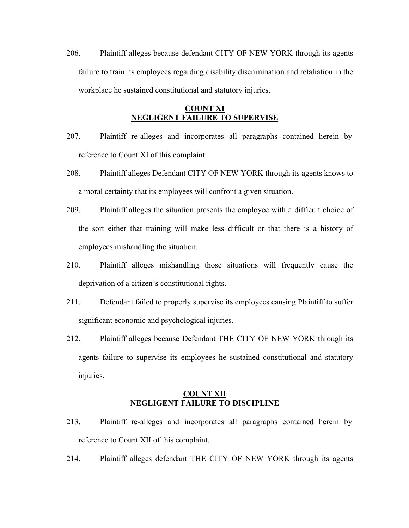206. Plaintiff alleges because defendant CITY OF NEW YORK through its agents failure to train its employees regarding disability discrimination and retaliation in the workplace he sustained constitutional and statutory injuries.

# **COUNT XI NEGLIGENT FAILURE TO SUPERVISE**

- 207. Plaintiff re-alleges and incorporates all paragraphs contained herein by reference to Count XI of this complaint.
- 208. Plaintiff alleges Defendant CITY OF NEW YORK through its agents knows to a moral certainty that its employees will confront a given situation.
- 209. Plaintiff alleges the situation presents the employee with a difficult choice of the sort either that training will make less difficult or that there is a history of employees mishandling the situation.
- 210. Plaintiff alleges mishandling those situations will frequently cause the deprivation of a citizen's constitutional rights.
- 211. Defendant failed to properly supervise its employees causing Plaintiff to suffer significant economic and psychological injuries.
- 212. Plaintiff alleges because Defendant THE CITY OF NEW YORK through its agents failure to supervise its employees he sustained constitutional and statutory injuries.

#### **COUNT XII NEGLIGENT FAILURE TO DISCIPLINE**

- 213. Plaintiff re-alleges and incorporates all paragraphs contained herein by reference to Count XII of this complaint.
- 214. Plaintiff alleges defendant THE CITY OF NEW YORK through its agents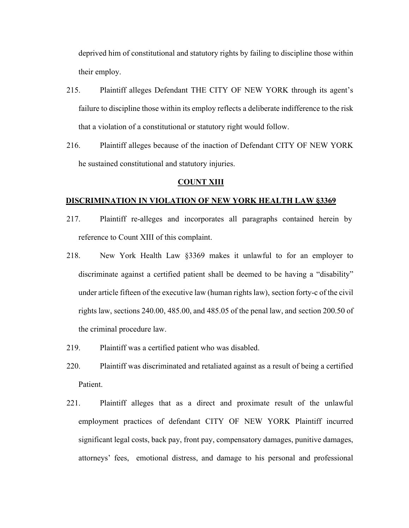deprived him of constitutional and statutory rights by failing to discipline those within their employ.

- 215. Plaintiff alleges Defendant THE CITY OF NEW YORK through its agent's failure to discipline those within its employ reflects a deliberate indifference to the risk that a violation of a constitutional or statutory right would follow.
- 216. Plaintiff alleges because of the inaction of Defendant CITY OF NEW YORK he sustained constitutional and statutory injuries.

#### **COUNT XIII**

#### **DISCRIMINATION IN VIOLATION OF NEW YORK HEALTH LAW §3369**

- 217. Plaintiff re-alleges and incorporates all paragraphs contained herein by reference to Count XIII of this complaint.
- 218. New York Health Law §3369 makes it unlawful to for an employer to discriminate against a certified patient shall be deemed to be having a "disability" under article fifteen of the executive law (human rights law), section forty-c of the civil rights law, sections 240.00, 485.00, and 485.05 of the penal law, and section 200.50 of the criminal procedure law.
- 219. Plaintiff was a certified patient who was disabled.
- 220. Plaintiff was discriminated and retaliated against as a result of being a certified Patient.
- 221. Plaintiff alleges that as a direct and proximate result of the unlawful employment practices of defendant CITY OF NEW YORK Plaintiff incurred significant legal costs, back pay, front pay, compensatory damages, punitive damages, attorneys' fees, emotional distress, and damage to his personal and professional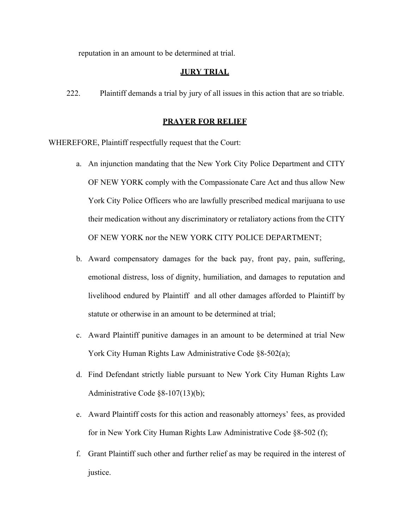reputation in an amount to be determined at trial.

#### **JURY TRIAL**

222. Plaintiff demands a trial by jury of all issues in this action that are so triable.

#### **PRAYER FOR RELIEF**

WHEREFORE, Plaintiff respectfully request that the Court:

- a. An injunction mandating that the New York City Police Department and CITY OF NEW YORK comply with the Compassionate Care Act and thus allow New York City Police Officers who are lawfully prescribed medical marijuana to use their medication without any discriminatory or retaliatory actions from the CITY OF NEW YORK nor the NEW YORK CITY POLICE DEPARTMENT;
- b. Award compensatory damages for the back pay, front pay, pain, suffering, emotional distress, loss of dignity, humiliation, and damages to reputation and livelihood endured by Plaintiff and all other damages afforded to Plaintiff by statute or otherwise in an amount to be determined at trial;
- c. Award Plaintiff punitive damages in an amount to be determined at trial New York City Human Rights Law Administrative Code §8-502(a);
- d. Find Defendant strictly liable pursuant to New York City Human Rights Law Administrative Code §8-107(13)(b);
- e. Award Plaintiff costs for this action and reasonably attorneys' fees, as provided for in New York City Human Rights Law Administrative Code §8-502 (f);
- f. Grant Plaintiff such other and further relief as may be required in the interest of justice.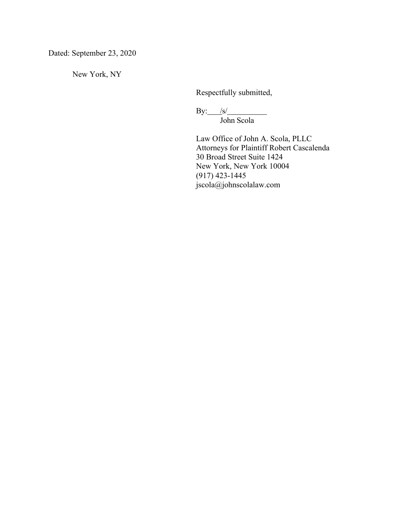Dated: September 23, 2020

New York, NY

Respectfully submitted,

By: /s/ John Scola

Law Office of John A. Scola, PLLC Attorneys for Plaintiff Robert Cascalenda 30 Broad Street Suite 1424 New York, New York 10004 (917) 423-1445 jscola@johnscolalaw.com